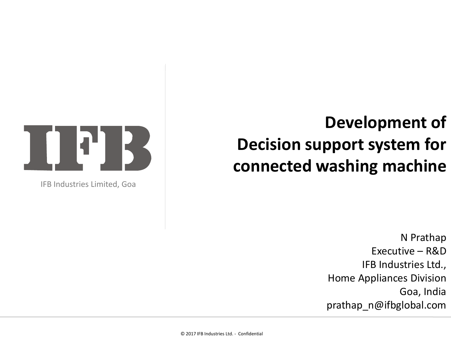## **Development of Decision support system for connected washing machine**





IFB Industries Limited, Goa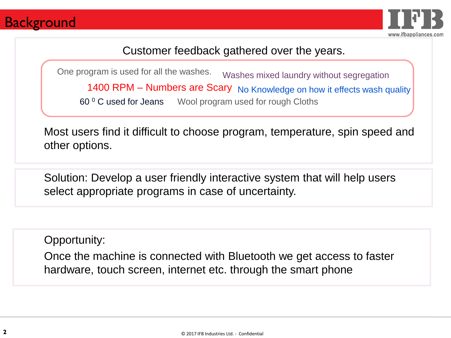### **Background**



Customer feedback gathered over the years.

Washes mixed laundry without segregation 1400 RPM - Numbers are Scary No Knowledge on how it effects wash quality 60 <sup>0</sup> C used for Jeans Wool program used for rough Cloths One program is used for all the washes.

Most users find it difficult to choose program, temperature, spin speed and other options.

Solution: Develop a user friendly interactive system that will help users select appropriate programs in case of uncertainty.

Opportunity:

Once the machine is connected with Bluetooth we get access to faster hardware, touch screen, internet etc. through the smart phone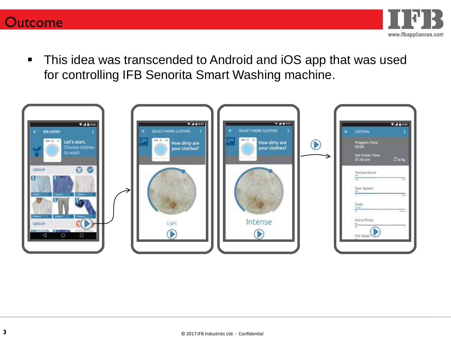



■ This idea was transcended to Android and iOS app that was used for controlling IFB Senorita Smart Washing machine.

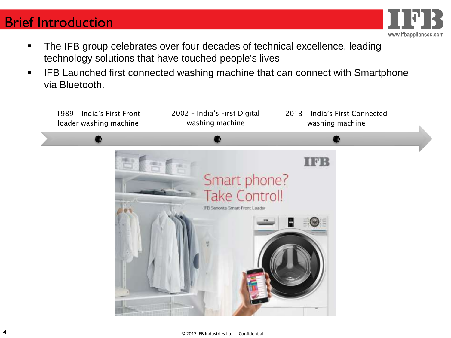### Brief Introduction



- The IFB group celebrates over four decades of technical excellence, leading technology solutions that have touched people's lives
- IFB Launched first connected washing machine that can connect with Smartphone via Bluetooth.

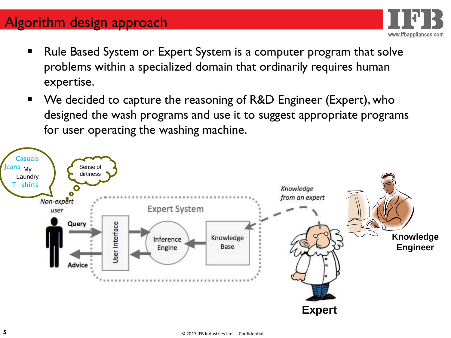## Algorithm design approach

Rule Based System or Expert System is a computer program that solve problems within a specialized domain that ordinarily requires human expertise.

www.ifbappliances.com

■ We decided to capture the reasoning of R&D Engineer (Expert), who designed the wash programs and use it to suggest appropriate programs for user operating the washing machine.

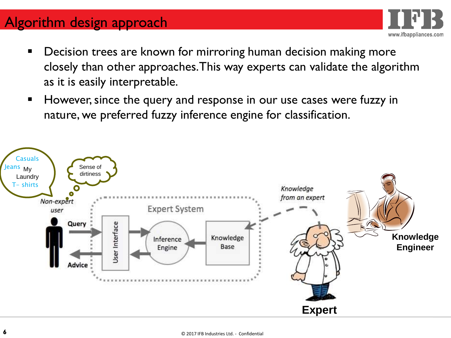## Algorithm design approach

**• Decision trees are known for mirroring human decision making more** closely than other approaches. This way experts can validate the algorithm as it is easily interpretable.

www.ifbappliances.com

■ However, since the query and response in our use cases were fuzzy in nature, we preferred fuzzy inference engine for classification.

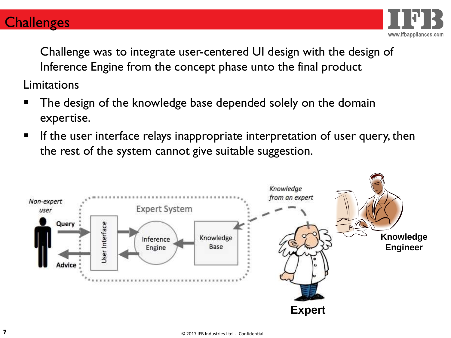#### **Challenges**



Challenge was to integrate user-centered UI design with the design of Inference Engine from the concept phase unto the final product

Limitations

- The design of the knowledge base depended solely on the domain expertise.
- **E** If the user interface relays inappropriate interpretation of user query, then the rest of the system cannot give suitable suggestion.

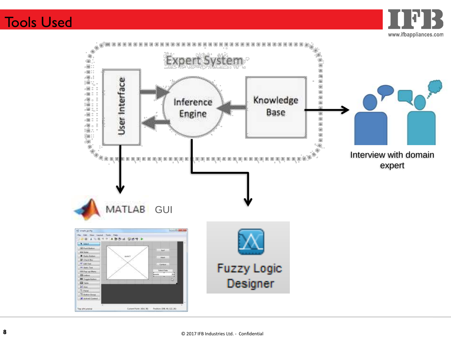#### Tools Used

www.ifbappliances.com

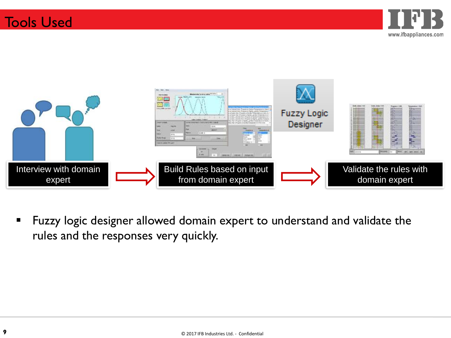



**EXEL FUZZY logic designer allowed domain expert to understand and validate the** rules and the responses very quickly.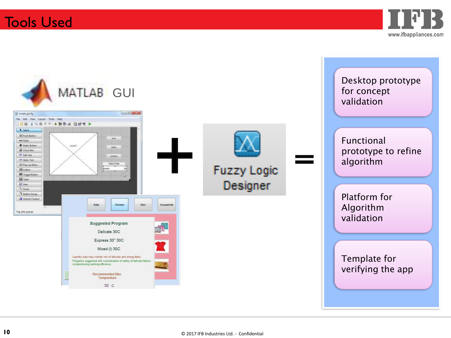

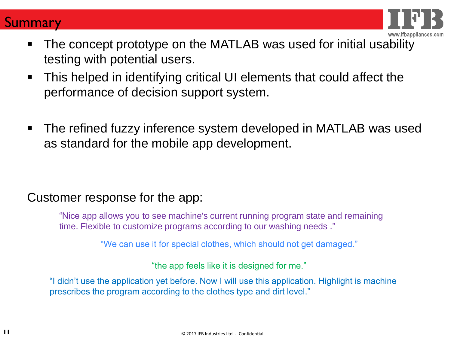



- The concept prototype on the MATLAB was used for initial usability testing with potential users.
- This helped in identifying critical UI elements that could affect the performance of decision support system.
- The refined fuzzy inference system developed in MATLAB was used as standard for the mobile app development.

#### Customer response for the app:

"Nice app allows you to see machine's current running program state and remaining time. Flexible to customize programs according to our washing needs ."

"We can use it for special clothes, which should not get damaged."

"the app feels like it is designed for me."

"I didn't use the application yet before. Now I will use this application. Highlight is machine prescribes the program according to the clothes type and dirt level."